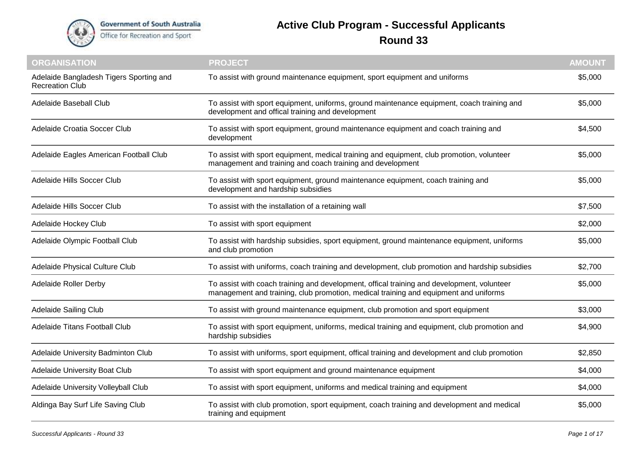

## **Active Club Program - Successful Applicants Round 33**

| <b>ORGANISATION</b>                                               | <b>PROJECT</b>                                                                                                                                                                     | <b>AMOUNT</b> |
|-------------------------------------------------------------------|------------------------------------------------------------------------------------------------------------------------------------------------------------------------------------|---------------|
| Adelaide Bangladesh Tigers Sporting and<br><b>Recreation Club</b> | To assist with ground maintenance equipment, sport equipment and uniforms                                                                                                          | \$5,000       |
| Adelaide Baseball Club                                            | To assist with sport equipment, uniforms, ground maintenance equipment, coach training and<br>development and offical training and development                                     | \$5,000       |
| Adelaide Croatia Soccer Club                                      | To assist with sport equipment, ground maintenance equipment and coach training and<br>development                                                                                 | \$4,500       |
| Adelaide Eagles American Football Club                            | To assist with sport equipment, medical training and equipment, club promotion, volunteer<br>management and training and coach training and development                            | \$5,000       |
| Adelaide Hills Soccer Club                                        | To assist with sport equipment, ground maintenance equipment, coach training and<br>development and hardship subsidies                                                             | \$5,000       |
| Adelaide Hills Soccer Club                                        | To assist with the installation of a retaining wall                                                                                                                                | \$7,500       |
| Adelaide Hockey Club                                              | To assist with sport equipment                                                                                                                                                     | \$2,000       |
| Adelaide Olympic Football Club                                    | To assist with hardship subsidies, sport equipment, ground maintenance equipment, uniforms<br>and club promotion                                                                   | \$5,000       |
| Adelaide Physical Culture Club                                    | To assist with uniforms, coach training and development, club promotion and hardship subsidies                                                                                     | \$2,700       |
| <b>Adelaide Roller Derby</b>                                      | To assist with coach training and development, offical training and development, volunteer<br>management and training, club promotion, medical training and equipment and uniforms | \$5,000       |
| Adelaide Sailing Club                                             | To assist with ground maintenance equipment, club promotion and sport equipment                                                                                                    | \$3,000       |
| Adelaide Titans Football Club                                     | To assist with sport equipment, uniforms, medical training and equipment, club promotion and<br>hardship subsidies                                                                 | \$4,900       |
| Adelaide University Badminton Club                                | To assist with uniforms, sport equipment, offical training and development and club promotion                                                                                      | \$2,850       |
| Adelaide University Boat Club                                     | To assist with sport equipment and ground maintenance equipment                                                                                                                    | \$4,000       |
| Adelaide University Volleyball Club                               | To assist with sport equipment, uniforms and medical training and equipment                                                                                                        | \$4,000       |
| Aldinga Bay Surf Life Saving Club                                 | To assist with club promotion, sport equipment, coach training and development and medical<br>training and equipment                                                               | \$5,000       |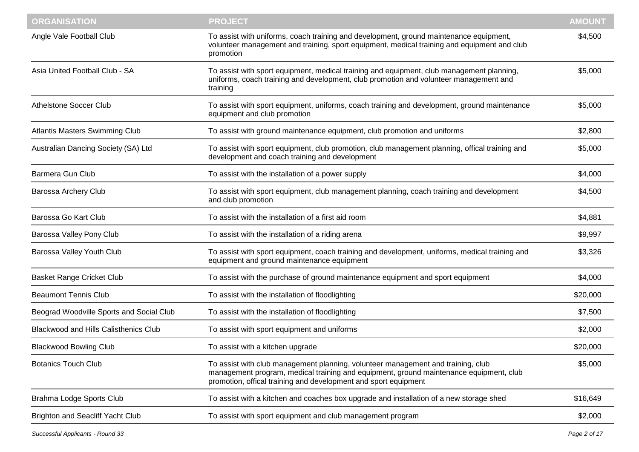| Angle Vale Football Club                     | To assist with uniforms, coach training and development, ground maintenance equipment,<br>volunteer management and training, sport equipment, medical training and equipment and club<br>promotion                                            | \$4,500  |
|----------------------------------------------|-----------------------------------------------------------------------------------------------------------------------------------------------------------------------------------------------------------------------------------------------|----------|
| Asia United Football Club - SA               | To assist with sport equipment, medical training and equipment, club management planning,<br>uniforms, coach training and development, club promotion and volunteer management and<br>training                                                | \$5,000  |
| <b>Athelstone Soccer Club</b>                | To assist with sport equipment, uniforms, coach training and development, ground maintenance<br>equipment and club promotion                                                                                                                  | \$5,000  |
| Atlantis Masters Swimming Club               | To assist with ground maintenance equipment, club promotion and uniforms                                                                                                                                                                      | \$2,800  |
| Australian Dancing Society (SA) Ltd          | To assist with sport equipment, club promotion, club management planning, offical training and<br>development and coach training and development                                                                                              | \$5,000  |
| <b>Barmera Gun Club</b>                      | To assist with the installation of a power supply                                                                                                                                                                                             | \$4,000  |
| Barossa Archery Club                         | To assist with sport equipment, club management planning, coach training and development<br>and club promotion                                                                                                                                | \$4,500  |
| Barossa Go Kart Club                         | To assist with the installation of a first aid room                                                                                                                                                                                           | \$4,881  |
| Barossa Valley Pony Club                     | To assist with the installation of a riding arena                                                                                                                                                                                             | \$9,997  |
| Barossa Valley Youth Club                    | To assist with sport equipment, coach training and development, uniforms, medical training and<br>equipment and ground maintenance equipment                                                                                                  | \$3,326  |
| <b>Basket Range Cricket Club</b>             | To assist with the purchase of ground maintenance equipment and sport equipment                                                                                                                                                               | \$4,000  |
| <b>Beaumont Tennis Club</b>                  | To assist with the installation of floodlighting                                                                                                                                                                                              | \$20,000 |
| Beograd Woodville Sports and Social Club     | To assist with the installation of floodlighting                                                                                                                                                                                              | \$7,500  |
| <b>Blackwood and Hills Calisthenics Club</b> | To assist with sport equipment and uniforms                                                                                                                                                                                                   | \$2,000  |
| <b>Blackwood Bowling Club</b>                | To assist with a kitchen upgrade                                                                                                                                                                                                              | \$20,000 |
| <b>Botanics Touch Club</b>                   | To assist with club management planning, volunteer management and training, club<br>management program, medical training and equipment, ground maintenance equipment, club<br>promotion, offical training and development and sport equipment | \$5,000  |
| Brahma Lodge Sports Club                     | To assist with a kitchen and coaches box upgrade and installation of a new storage shed                                                                                                                                                       | \$16,649 |
| <b>Brighton and Seacliff Yacht Club</b>      | To assist with sport equipment and club management program                                                                                                                                                                                    | \$2,000  |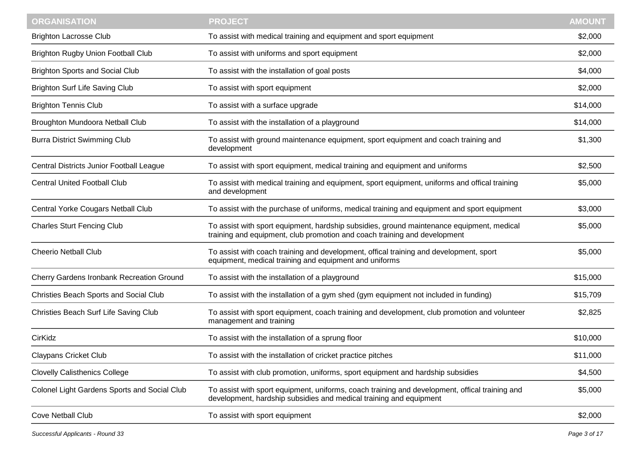| <b>Brighton Lacrosse Club</b><br>To assist with medical training and equipment and sport equipment<br>\$2,000<br>To assist with uniforms and sport equipment<br>\$2,000<br>\$4,000<br>To assist with the installation of goal posts<br>To assist with sport equipment<br>\$2,000<br>\$14,000<br>To assist with a surface upgrade<br>Broughton Mundoora Netball Club<br>To assist with the installation of a playground<br>\$14,000<br><b>Burra District Swimming Club</b><br>To assist with ground maintenance equipment, sport equipment and coach training and<br>\$1,300<br>development<br>Central Districts Junior Football League<br>\$2,500<br>To assist with sport equipment, medical training and equipment and uniforms<br><b>Central United Football Club</b><br>To assist with medical training and equipment, sport equipment, uniforms and offical training<br>\$5,000<br>and development<br>Central Yorke Cougars Netball Club<br>To assist with the purchase of uniforms, medical training and equipment and sport equipment<br>\$3,000<br>To assist with sport equipment, hardship subsidies, ground maintenance equipment, medical<br>\$5,000<br>training and equipment, club promotion and coach training and development<br>To assist with coach training and development, offical training and development, sport<br>\$5,000<br>equipment, medical training and equipment and uniforms<br>To assist with the installation of a playground<br>\$15,000<br>To assist with the installation of a gym shed (gym equipment not included in funding)<br>\$15,709<br>To assist with sport equipment, coach training and development, club promotion and volunteer<br>\$2,825<br>management and training<br>To assist with the installation of a sprung floor<br>\$10,000<br>To assist with the installation of cricket practice pitches<br>\$11,000<br><b>Claypans Cricket Club</b><br>To assist with club promotion, uniforms, sport equipment and hardship subsidies<br>\$4,500<br>Colonel Light Gardens Sports and Social Club<br>\$5,000<br>To assist with sport equipment, uniforms, coach training and development, offical training and<br>development, hardship subsidies and medical training and equipment<br>To assist with sport equipment<br>\$2,000 | <b>ORGANISATION</b>                       | <b>PROJECT</b> | <b>AMOUNT</b> |
|--------------------------------------------------------------------------------------------------------------------------------------------------------------------------------------------------------------------------------------------------------------------------------------------------------------------------------------------------------------------------------------------------------------------------------------------------------------------------------------------------------------------------------------------------------------------------------------------------------------------------------------------------------------------------------------------------------------------------------------------------------------------------------------------------------------------------------------------------------------------------------------------------------------------------------------------------------------------------------------------------------------------------------------------------------------------------------------------------------------------------------------------------------------------------------------------------------------------------------------------------------------------------------------------------------------------------------------------------------------------------------------------------------------------------------------------------------------------------------------------------------------------------------------------------------------------------------------------------------------------------------------------------------------------------------------------------------------------------------------------------------------------------------------------------------------------------------------------------------------------------------------------------------------------------------------------------------------------------------------------------------------------------------------------------------------------------------------------------------------------------------------------------------------------------------------------------------------------------------------------------------------------------------|-------------------------------------------|----------------|---------------|
|                                                                                                                                                                                                                                                                                                                                                                                                                                                                                                                                                                                                                                                                                                                                                                                                                                                                                                                                                                                                                                                                                                                                                                                                                                                                                                                                                                                                                                                                                                                                                                                                                                                                                                                                                                                                                                                                                                                                                                                                                                                                                                                                                                                                                                                                                |                                           |                |               |
|                                                                                                                                                                                                                                                                                                                                                                                                                                                                                                                                                                                                                                                                                                                                                                                                                                                                                                                                                                                                                                                                                                                                                                                                                                                                                                                                                                                                                                                                                                                                                                                                                                                                                                                                                                                                                                                                                                                                                                                                                                                                                                                                                                                                                                                                                | <b>Brighton Rugby Union Football Club</b> |                |               |
|                                                                                                                                                                                                                                                                                                                                                                                                                                                                                                                                                                                                                                                                                                                                                                                                                                                                                                                                                                                                                                                                                                                                                                                                                                                                                                                                                                                                                                                                                                                                                                                                                                                                                                                                                                                                                                                                                                                                                                                                                                                                                                                                                                                                                                                                                | <b>Brighton Sports and Social Club</b>    |                |               |
|                                                                                                                                                                                                                                                                                                                                                                                                                                                                                                                                                                                                                                                                                                                                                                                                                                                                                                                                                                                                                                                                                                                                                                                                                                                                                                                                                                                                                                                                                                                                                                                                                                                                                                                                                                                                                                                                                                                                                                                                                                                                                                                                                                                                                                                                                | <b>Brighton Surf Life Saving Club</b>     |                |               |
|                                                                                                                                                                                                                                                                                                                                                                                                                                                                                                                                                                                                                                                                                                                                                                                                                                                                                                                                                                                                                                                                                                                                                                                                                                                                                                                                                                                                                                                                                                                                                                                                                                                                                                                                                                                                                                                                                                                                                                                                                                                                                                                                                                                                                                                                                | <b>Brighton Tennis Club</b>               |                |               |
|                                                                                                                                                                                                                                                                                                                                                                                                                                                                                                                                                                                                                                                                                                                                                                                                                                                                                                                                                                                                                                                                                                                                                                                                                                                                                                                                                                                                                                                                                                                                                                                                                                                                                                                                                                                                                                                                                                                                                                                                                                                                                                                                                                                                                                                                                |                                           |                |               |
|                                                                                                                                                                                                                                                                                                                                                                                                                                                                                                                                                                                                                                                                                                                                                                                                                                                                                                                                                                                                                                                                                                                                                                                                                                                                                                                                                                                                                                                                                                                                                                                                                                                                                                                                                                                                                                                                                                                                                                                                                                                                                                                                                                                                                                                                                |                                           |                |               |
|                                                                                                                                                                                                                                                                                                                                                                                                                                                                                                                                                                                                                                                                                                                                                                                                                                                                                                                                                                                                                                                                                                                                                                                                                                                                                                                                                                                                                                                                                                                                                                                                                                                                                                                                                                                                                                                                                                                                                                                                                                                                                                                                                                                                                                                                                |                                           |                |               |
|                                                                                                                                                                                                                                                                                                                                                                                                                                                                                                                                                                                                                                                                                                                                                                                                                                                                                                                                                                                                                                                                                                                                                                                                                                                                                                                                                                                                                                                                                                                                                                                                                                                                                                                                                                                                                                                                                                                                                                                                                                                                                                                                                                                                                                                                                |                                           |                |               |
|                                                                                                                                                                                                                                                                                                                                                                                                                                                                                                                                                                                                                                                                                                                                                                                                                                                                                                                                                                                                                                                                                                                                                                                                                                                                                                                                                                                                                                                                                                                                                                                                                                                                                                                                                                                                                                                                                                                                                                                                                                                                                                                                                                                                                                                                                |                                           |                |               |
|                                                                                                                                                                                                                                                                                                                                                                                                                                                                                                                                                                                                                                                                                                                                                                                                                                                                                                                                                                                                                                                                                                                                                                                                                                                                                                                                                                                                                                                                                                                                                                                                                                                                                                                                                                                                                                                                                                                                                                                                                                                                                                                                                                                                                                                                                | <b>Charles Sturt Fencing Club</b>         |                |               |
|                                                                                                                                                                                                                                                                                                                                                                                                                                                                                                                                                                                                                                                                                                                                                                                                                                                                                                                                                                                                                                                                                                                                                                                                                                                                                                                                                                                                                                                                                                                                                                                                                                                                                                                                                                                                                                                                                                                                                                                                                                                                                                                                                                                                                                                                                | <b>Cheerio Netball Club</b>               |                |               |
|                                                                                                                                                                                                                                                                                                                                                                                                                                                                                                                                                                                                                                                                                                                                                                                                                                                                                                                                                                                                                                                                                                                                                                                                                                                                                                                                                                                                                                                                                                                                                                                                                                                                                                                                                                                                                                                                                                                                                                                                                                                                                                                                                                                                                                                                                | Cherry Gardens Ironbank Recreation Ground |                |               |
|                                                                                                                                                                                                                                                                                                                                                                                                                                                                                                                                                                                                                                                                                                                                                                                                                                                                                                                                                                                                                                                                                                                                                                                                                                                                                                                                                                                                                                                                                                                                                                                                                                                                                                                                                                                                                                                                                                                                                                                                                                                                                                                                                                                                                                                                                | Christies Beach Sports and Social Club    |                |               |
|                                                                                                                                                                                                                                                                                                                                                                                                                                                                                                                                                                                                                                                                                                                                                                                                                                                                                                                                                                                                                                                                                                                                                                                                                                                                                                                                                                                                                                                                                                                                                                                                                                                                                                                                                                                                                                                                                                                                                                                                                                                                                                                                                                                                                                                                                | Christies Beach Surf Life Saving Club     |                |               |
|                                                                                                                                                                                                                                                                                                                                                                                                                                                                                                                                                                                                                                                                                                                                                                                                                                                                                                                                                                                                                                                                                                                                                                                                                                                                                                                                                                                                                                                                                                                                                                                                                                                                                                                                                                                                                                                                                                                                                                                                                                                                                                                                                                                                                                                                                | CirKidz                                   |                |               |
|                                                                                                                                                                                                                                                                                                                                                                                                                                                                                                                                                                                                                                                                                                                                                                                                                                                                                                                                                                                                                                                                                                                                                                                                                                                                                                                                                                                                                                                                                                                                                                                                                                                                                                                                                                                                                                                                                                                                                                                                                                                                                                                                                                                                                                                                                |                                           |                |               |
|                                                                                                                                                                                                                                                                                                                                                                                                                                                                                                                                                                                                                                                                                                                                                                                                                                                                                                                                                                                                                                                                                                                                                                                                                                                                                                                                                                                                                                                                                                                                                                                                                                                                                                                                                                                                                                                                                                                                                                                                                                                                                                                                                                                                                                                                                | <b>Clovelly Calisthenics College</b>      |                |               |
|                                                                                                                                                                                                                                                                                                                                                                                                                                                                                                                                                                                                                                                                                                                                                                                                                                                                                                                                                                                                                                                                                                                                                                                                                                                                                                                                                                                                                                                                                                                                                                                                                                                                                                                                                                                                                                                                                                                                                                                                                                                                                                                                                                                                                                                                                |                                           |                |               |
|                                                                                                                                                                                                                                                                                                                                                                                                                                                                                                                                                                                                                                                                                                                                                                                                                                                                                                                                                                                                                                                                                                                                                                                                                                                                                                                                                                                                                                                                                                                                                                                                                                                                                                                                                                                                                                                                                                                                                                                                                                                                                                                                                                                                                                                                                | <b>Cove Netball Club</b>                  |                |               |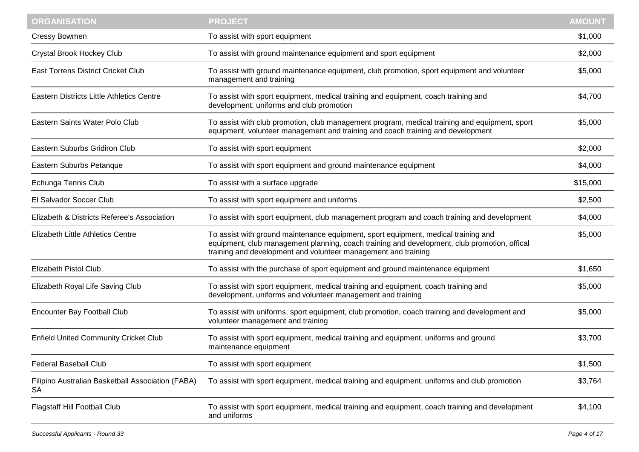| <b>ORGANISATION</b>                                            | <b>PROJECT</b>                                                                                                                                                                                                                                       | <b>AMOUNT</b> |
|----------------------------------------------------------------|------------------------------------------------------------------------------------------------------------------------------------------------------------------------------------------------------------------------------------------------------|---------------|
| <b>Cressy Bowmen</b>                                           | To assist with sport equipment                                                                                                                                                                                                                       | \$1,000       |
| Crystal Brook Hockey Club                                      | To assist with ground maintenance equipment and sport equipment                                                                                                                                                                                      | \$2,000       |
| East Torrens District Cricket Club                             | To assist with ground maintenance equipment, club promotion, sport equipment and volunteer<br>management and training                                                                                                                                | \$5,000       |
| <b>Eastern Districts Little Athletics Centre</b>               | To assist with sport equipment, medical training and equipment, coach training and<br>development, uniforms and club promotion                                                                                                                       | \$4,700       |
| Eastern Saints Water Polo Club                                 | To assist with club promotion, club management program, medical training and equipment, sport<br>equipment, volunteer management and training and coach training and development                                                                     | \$5,000       |
| Eastern Suburbs Gridiron Club                                  | To assist with sport equipment                                                                                                                                                                                                                       | \$2,000       |
| Eastern Suburbs Petanque                                       | To assist with sport equipment and ground maintenance equipment                                                                                                                                                                                      | \$4,000       |
| Echunga Tennis Club                                            | To assist with a surface upgrade                                                                                                                                                                                                                     | \$15,000      |
| El Salvador Soccer Club                                        | To assist with sport equipment and uniforms                                                                                                                                                                                                          | \$2,500       |
| Elizabeth & Districts Referee's Association                    | To assist with sport equipment, club management program and coach training and development                                                                                                                                                           | \$4,000       |
| Elizabeth Little Athletics Centre                              | To assist with ground maintenance equipment, sport equipment, medical training and<br>equipment, club management planning, coach training and development, club promotion, offical<br>training and development and volunteer management and training | \$5,000       |
| <b>Elizabeth Pistol Club</b>                                   | To assist with the purchase of sport equipment and ground maintenance equipment                                                                                                                                                                      | \$1,650       |
| Elizabeth Royal Life Saving Club                               | To assist with sport equipment, medical training and equipment, coach training and<br>development, uniforms and volunteer management and training                                                                                                    | \$5,000       |
| Encounter Bay Football Club                                    | To assist with uniforms, sport equipment, club promotion, coach training and development and<br>volunteer management and training                                                                                                                    | \$5,000       |
| <b>Enfield United Community Cricket Club</b>                   | To assist with sport equipment, medical training and equipment, uniforms and ground<br>maintenance equipment                                                                                                                                         | \$3,700       |
| Federal Baseball Club                                          | To assist with sport equipment                                                                                                                                                                                                                       | \$1,500       |
| Filipino Australian Basketball Association (FABA)<br><b>SA</b> | To assist with sport equipment, medical training and equipment, uniforms and club promotion                                                                                                                                                          | \$3,764       |
| <b>Flagstaff Hill Football Club</b>                            | To assist with sport equipment, medical training and equipment, coach training and development<br>and uniforms                                                                                                                                       | \$4,100       |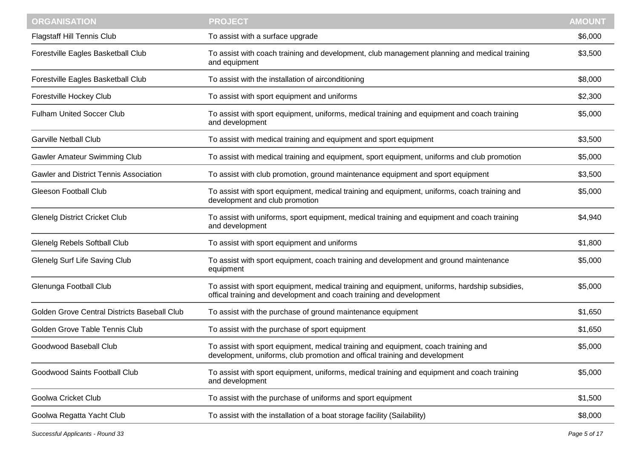| <b>PROJECT</b>                                                                                                                                                       | <b>AMOUNT</b> |
|----------------------------------------------------------------------------------------------------------------------------------------------------------------------|---------------|
| To assist with a surface upgrade                                                                                                                                     | \$6,000       |
| To assist with coach training and development, club management planning and medical training<br>and equipment                                                        | \$3,500       |
| To assist with the installation of airconditioning                                                                                                                   | \$8,000       |
| To assist with sport equipment and uniforms                                                                                                                          | \$2,300       |
| To assist with sport equipment, uniforms, medical training and equipment and coach training<br>and development                                                       | \$5,000       |
| To assist with medical training and equipment and sport equipment                                                                                                    | \$3,500       |
| To assist with medical training and equipment, sport equipment, uniforms and club promotion                                                                          | \$5,000       |
| To assist with club promotion, ground maintenance equipment and sport equipment                                                                                      | \$3,500       |
| To assist with sport equipment, medical training and equipment, uniforms, coach training and<br>development and club promotion                                       | \$5,000       |
| To assist with uniforms, sport equipment, medical training and equipment and coach training<br>and development                                                       | \$4,940       |
| To assist with sport equipment and uniforms                                                                                                                          | \$1,800       |
| To assist with sport equipment, coach training and development and ground maintenance<br>equipment                                                                   | \$5,000       |
| To assist with sport equipment, medical training and equipment, uniforms, hardship subsidies,<br>offical training and development and coach training and development | \$5,000       |
| To assist with the purchase of ground maintenance equipment                                                                                                          | \$1,650       |
| To assist with the purchase of sport equipment                                                                                                                       | \$1,650       |
| To assist with sport equipment, medical training and equipment, coach training and<br>development, uniforms, club promotion and offical training and development     | \$5,000       |
| To assist with sport equipment, uniforms, medical training and equipment and coach training<br>and development                                                       | \$5,000       |
| To assist with the purchase of uniforms and sport equipment                                                                                                          | \$1,500       |
| To assist with the installation of a boat storage facility (Sailability)                                                                                             | \$8,000       |
|                                                                                                                                                                      |               |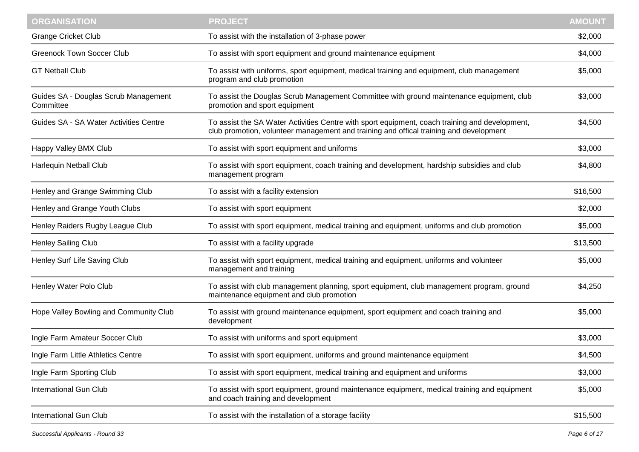| <b>ORGANISATION</b>                               | <b>PROJECT</b>                                                                                                                                                                           | <b>AMOUNT</b> |
|---------------------------------------------------|------------------------------------------------------------------------------------------------------------------------------------------------------------------------------------------|---------------|
| <b>Grange Cricket Club</b>                        | To assist with the installation of 3-phase power                                                                                                                                         | \$2,000       |
| <b>Greenock Town Soccer Club</b>                  | To assist with sport equipment and ground maintenance equipment                                                                                                                          | \$4,000       |
| <b>GT Netball Club</b>                            | To assist with uniforms, sport equipment, medical training and equipment, club management<br>program and club promotion                                                                  | \$5,000       |
| Guides SA - Douglas Scrub Management<br>Committee | To assist the Douglas Scrub Management Committee with ground maintenance equipment, club<br>promotion and sport equipment                                                                | \$3,000       |
| Guides SA - SA Water Activities Centre            | To assist the SA Water Activities Centre with sport equipment, coach training and development,<br>club promotion, volunteer management and training and offical training and development | \$4,500       |
| Happy Valley BMX Club                             | To assist with sport equipment and uniforms                                                                                                                                              | \$3,000       |
| Harlequin Netball Club                            | To assist with sport equipment, coach training and development, hardship subsidies and club<br>management program                                                                        | \$4,800       |
| Henley and Grange Swimming Club                   | To assist with a facility extension                                                                                                                                                      | \$16,500      |
| Henley and Grange Youth Clubs                     | To assist with sport equipment                                                                                                                                                           | \$2,000       |
| Henley Raiders Rugby League Club                  | To assist with sport equipment, medical training and equipment, uniforms and club promotion                                                                                              | \$5,000       |
| <b>Henley Sailing Club</b>                        | To assist with a facility upgrade                                                                                                                                                        | \$13,500      |
| Henley Surf Life Saving Club                      | To assist with sport equipment, medical training and equipment, uniforms and volunteer<br>management and training                                                                        | \$5,000       |
| Henley Water Polo Club                            | To assist with club management planning, sport equipment, club management program, ground<br>maintenance equipment and club promotion                                                    | \$4,250       |
| Hope Valley Bowling and Community Club            | To assist with ground maintenance equipment, sport equipment and coach training and<br>development                                                                                       | \$5,000       |
| Ingle Farm Amateur Soccer Club                    | To assist with uniforms and sport equipment                                                                                                                                              | \$3,000       |
| Ingle Farm Little Athletics Centre                | To assist with sport equipment, uniforms and ground maintenance equipment                                                                                                                | \$4,500       |
| Ingle Farm Sporting Club                          | To assist with sport equipment, medical training and equipment and uniforms                                                                                                              | \$3,000       |
| <b>International Gun Club</b>                     | To assist with sport equipment, ground maintenance equipment, medical training and equipment<br>and coach training and development                                                       | \$5,000       |
| <b>International Gun Club</b>                     | To assist with the installation of a storage facility                                                                                                                                    | \$15,500      |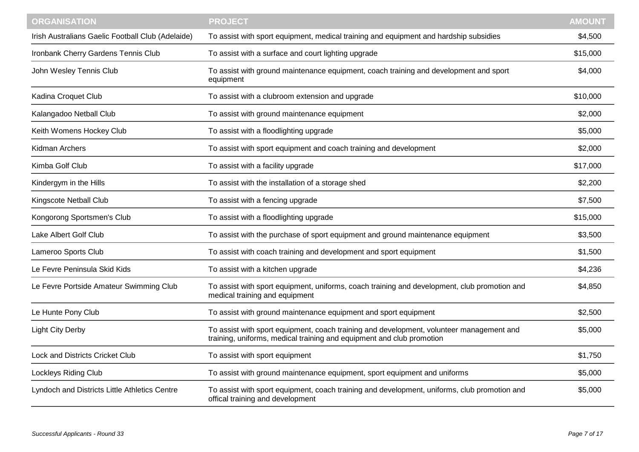| <b>ORGANISATION</b>                               | <b>PROJECT</b>                                                                                                                                                    | <b>AMOUNT</b> |
|---------------------------------------------------|-------------------------------------------------------------------------------------------------------------------------------------------------------------------|---------------|
| Irish Australians Gaelic Football Club (Adelaide) | To assist with sport equipment, medical training and equipment and hardship subsidies                                                                             | \$4,500       |
| Ironbank Cherry Gardens Tennis Club               | To assist with a surface and court lighting upgrade                                                                                                               | \$15,000      |
| John Wesley Tennis Club                           | To assist with ground maintenance equipment, coach training and development and sport<br>equipment                                                                | \$4,000       |
| Kadina Croquet Club                               | To assist with a clubroom extension and upgrade                                                                                                                   | \$10,000      |
| Kalangadoo Netball Club                           | To assist with ground maintenance equipment                                                                                                                       | \$2,000       |
| Keith Womens Hockey Club                          | To assist with a floodlighting upgrade                                                                                                                            | \$5,000       |
| Kidman Archers                                    | To assist with sport equipment and coach training and development                                                                                                 | \$2,000       |
| Kimba Golf Club                                   | To assist with a facility upgrade                                                                                                                                 | \$17,000      |
| Kindergym in the Hills                            | To assist with the installation of a storage shed                                                                                                                 | \$2,200       |
| Kingscote Netball Club                            | To assist with a fencing upgrade                                                                                                                                  | \$7,500       |
| Kongorong Sportsmen's Club                        | To assist with a floodlighting upgrade                                                                                                                            | \$15,000      |
| Lake Albert Golf Club                             | To assist with the purchase of sport equipment and ground maintenance equipment                                                                                   | \$3,500       |
| Lameroo Sports Club                               | To assist with coach training and development and sport equipment                                                                                                 | \$1,500       |
| Le Fevre Peninsula Skid Kids                      | To assist with a kitchen upgrade                                                                                                                                  | \$4,236       |
| Le Fevre Portside Amateur Swimming Club           | To assist with sport equipment, uniforms, coach training and development, club promotion and<br>medical training and equipment                                    | \$4,850       |
| Le Hunte Pony Club                                | To assist with ground maintenance equipment and sport equipment                                                                                                   | \$2,500       |
| <b>Light City Derby</b>                           | To assist with sport equipment, coach training and development, volunteer management and<br>training, uniforms, medical training and equipment and club promotion | \$5,000       |
| Lock and Districts Cricket Club                   | To assist with sport equipment                                                                                                                                    | \$1,750       |
| <b>Lockleys Riding Club</b>                       | To assist with ground maintenance equipment, sport equipment and uniforms                                                                                         | \$5,000       |
| Lyndoch and Districts Little Athletics Centre     | To assist with sport equipment, coach training and development, uniforms, club promotion and<br>offical training and development                                  | \$5,000       |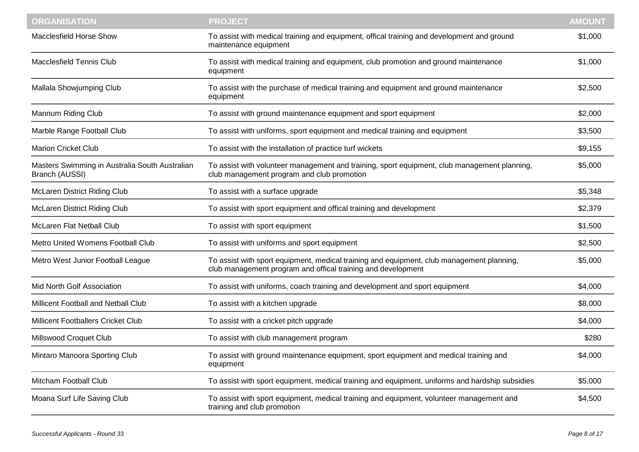| <b>ORGANISATION</b>                                              | <b>PROJECT</b>                                                                                                                                            | <b>AMOUNT</b> |
|------------------------------------------------------------------|-----------------------------------------------------------------------------------------------------------------------------------------------------------|---------------|
| Macclesfield Horse Show                                          | To assist with medical training and equipment, offical training and development and ground<br>maintenance equipment                                       | \$1,000       |
| <b>Macclesfield Tennis Club</b>                                  | To assist with medical training and equipment, club promotion and ground maintenance<br>equipment                                                         | \$1,000       |
| Mallala Showjumping Club                                         | To assist with the purchase of medical training and equipment and ground maintenance<br>equipment                                                         | \$2,500       |
| Mannum Riding Club                                               | To assist with ground maintenance equipment and sport equipment                                                                                           | \$2,000       |
| Marble Range Football Club                                       | To assist with uniforms, sport equipment and medical training and equipment                                                                               | \$3,500       |
| <b>Marion Cricket Club</b>                                       | To assist with the installation of practice turf wickets                                                                                                  | \$9,155       |
| Masters Swimming in Australia South Australian<br>Branch (AUSSI) | To assist with volunteer management and training, sport equipment, club management planning,<br>club management program and club promotion                | \$5,000       |
| <b>McLaren District Riding Club</b>                              | To assist with a surface upgrade                                                                                                                          | \$5,348       |
| <b>McLaren District Riding Club</b>                              | To assist with sport equipment and offical training and development                                                                                       | \$2,379       |
| McLaren Flat Netball Club                                        | To assist with sport equipment                                                                                                                            | \$1,500       |
| Metro United Womens Football Club                                | To assist with uniforms and sport equipment                                                                                                               | \$2,500       |
| Metro West Junior Football League                                | To assist with sport equipment, medical training and equipment, club management planning,<br>club management program and offical training and development | \$5,000       |
| Mid North Golf Association                                       | To assist with uniforms, coach training and development and sport equipment                                                                               | \$4,000       |
| Millicent Football and Netball Club                              | To assist with a kitchen upgrade                                                                                                                          | \$8,000       |
| Millicent Footballers Cricket Club                               | To assist with a cricket pitch upgrade                                                                                                                    | \$4,000       |
| Millswood Croquet Club                                           | To assist with club management program                                                                                                                    | \$280         |
| Mintaro Manoora Sporting Club                                    | To assist with ground maintenance equipment, sport equipment and medical training and<br>equipment                                                        | \$4,000       |
| Mitcham Football Club                                            | To assist with sport equipment, medical training and equipment, uniforms and hardship subsidies                                                           | \$5,000       |
| Moana Surf Life Saving Club                                      | To assist with sport equipment, medical training and equipment, volunteer management and<br>training and club promotion                                   | \$4,500       |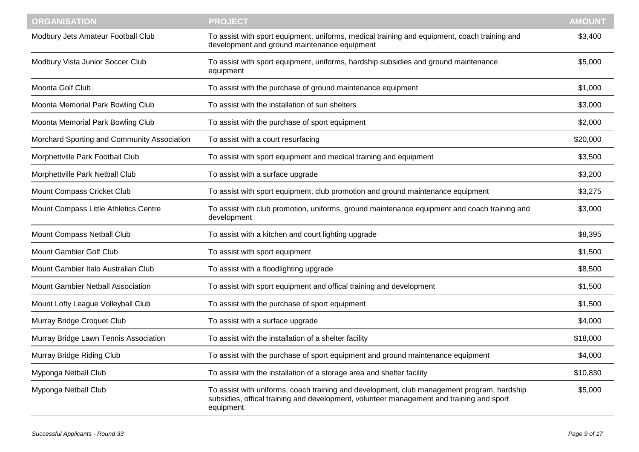| <b>ORGANISATION</b>                         | <b>PROJECT</b>                                                                                                                                                                                      | <b>AMOUNT</b> |
|---------------------------------------------|-----------------------------------------------------------------------------------------------------------------------------------------------------------------------------------------------------|---------------|
| Modbury Jets Amateur Football Club          | To assist with sport equipment, uniforms, medical training and equipment, coach training and<br>development and ground maintenance equipment                                                        | \$3,400       |
| Modbury Vista Junior Soccer Club            | To assist with sport equipment, uniforms, hardship subsidies and ground maintenance<br>equipment                                                                                                    | \$5,000       |
| Moonta Golf Club                            | To assist with the purchase of ground maintenance equipment                                                                                                                                         | \$1,000       |
| Moonta Memorial Park Bowling Club           | To assist with the installation of sun shelters                                                                                                                                                     | \$3,000       |
| Moonta Memorial Park Bowling Club           | To assist with the purchase of sport equipment                                                                                                                                                      | \$2,000       |
| Morchard Sporting and Community Association | To assist with a court resurfacing                                                                                                                                                                  | \$20,000      |
| Morphettville Park Football Club            | To assist with sport equipment and medical training and equipment                                                                                                                                   | \$3,500       |
| Morphettville Park Netball Club             | To assist with a surface upgrade                                                                                                                                                                    | \$3,200       |
| Mount Compass Cricket Club                  | To assist with sport equipment, club promotion and ground maintenance equipment                                                                                                                     | \$3,275       |
| Mount Compass Little Athletics Centre       | To assist with club promotion, uniforms, ground maintenance equipment and coach training and<br>development                                                                                         | \$3,000       |
| Mount Compass Netball Club                  | To assist with a kitchen and court lighting upgrade                                                                                                                                                 | \$8,395       |
| Mount Gambier Golf Club                     | To assist with sport equipment                                                                                                                                                                      | \$1,500       |
| Mount Gambier Italo Australian Club         | To assist with a floodlighting upgrade                                                                                                                                                              | \$8,500       |
| Mount Gambier Netball Association           | To assist with sport equipment and offical training and development                                                                                                                                 | \$1,500       |
| Mount Lofty League Volleyball Club          | To assist with the purchase of sport equipment                                                                                                                                                      | \$1,500       |
| Murray Bridge Croquet Club                  | To assist with a surface upgrade                                                                                                                                                                    | \$4,000       |
| Murray Bridge Lawn Tennis Association       | To assist with the installation of a shelter facility                                                                                                                                               | \$18,000      |
| Murray Bridge Riding Club                   | To assist with the purchase of sport equipment and ground maintenance equipment                                                                                                                     | \$4,000       |
| Myponga Netball Club                        | To assist with the installation of a storage area and shelter facility                                                                                                                              | \$10,830      |
| Myponga Netball Club                        | To assist with uniforms, coach training and development, club management program, hardship<br>subsidies, offical training and development, volunteer management and training and sport<br>equipment | \$5,000       |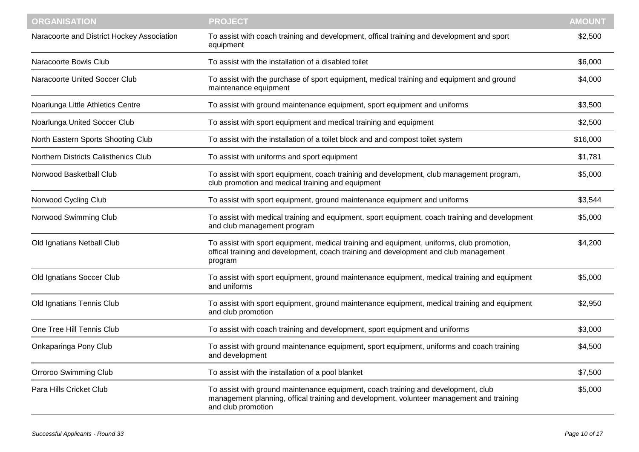| <b>ORGANISATION</b>                        | <b>PROJECT</b>                                                                                                                                                                                      | <b>AMOUNT</b> |
|--------------------------------------------|-----------------------------------------------------------------------------------------------------------------------------------------------------------------------------------------------------|---------------|
| Naracoorte and District Hockey Association | To assist with coach training and development, offical training and development and sport<br>equipment                                                                                              | \$2,500       |
| Naracoorte Bowls Club                      | To assist with the installation of a disabled toilet                                                                                                                                                | \$6,000       |
| Naracoorte United Soccer Club              | To assist with the purchase of sport equipment, medical training and equipment and ground<br>maintenance equipment                                                                                  | \$4,000       |
| Noarlunga Little Athletics Centre          | To assist with ground maintenance equipment, sport equipment and uniforms                                                                                                                           | \$3,500       |
| Noarlunga United Soccer Club               | To assist with sport equipment and medical training and equipment                                                                                                                                   | \$2,500       |
| North Eastern Sports Shooting Club         | To assist with the installation of a toilet block and and compost toilet system                                                                                                                     | \$16,000      |
| Northern Districts Calisthenics Club       | To assist with uniforms and sport equipment                                                                                                                                                         | \$1,781       |
| Norwood Basketball Club                    | To assist with sport equipment, coach training and development, club management program,<br>club promotion and medical training and equipment                                                       | \$5,000       |
| Norwood Cycling Club                       | To assist with sport equipment, ground maintenance equipment and uniforms                                                                                                                           | \$3,544       |
| Norwood Swimming Club                      | To assist with medical training and equipment, sport equipment, coach training and development<br>and club management program                                                                       | \$5,000       |
| Old Ignatians Netball Club                 | To assist with sport equipment, medical training and equipment, uniforms, club promotion,<br>offical training and development, coach training and development and club management<br>program        | \$4,200       |
| Old Ignatians Soccer Club                  | To assist with sport equipment, ground maintenance equipment, medical training and equipment<br>and uniforms                                                                                        | \$5,000       |
| Old Ignatians Tennis Club                  | To assist with sport equipment, ground maintenance equipment, medical training and equipment<br>and club promotion                                                                                  | \$2,950       |
| One Tree Hill Tennis Club                  | To assist with coach training and development, sport equipment and uniforms                                                                                                                         | \$3,000       |
| Onkaparinga Pony Club                      | To assist with ground maintenance equipment, sport equipment, uniforms and coach training<br>and development                                                                                        | \$4,500       |
| <b>Orroroo Swimming Club</b>               | To assist with the installation of a pool blanket                                                                                                                                                   | \$7,500       |
| Para Hills Cricket Club                    | To assist with ground maintenance equipment, coach training and development, club<br>management planning, offical training and development, volunteer management and training<br>and club promotion | \$5,000       |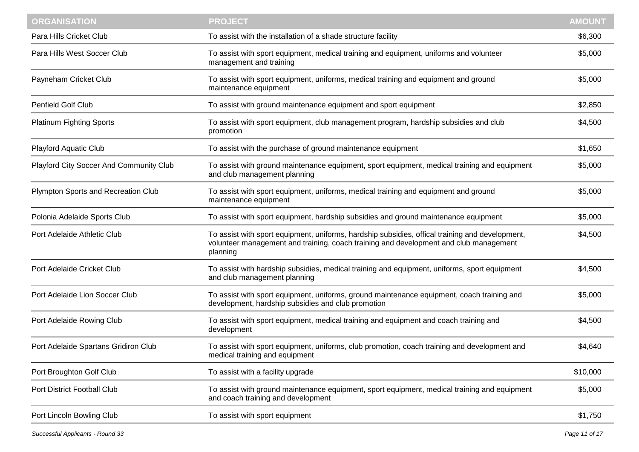| <b>ORGANISATION</b>                     | <b>PROJECT</b>                                                                                                                                                                                       | <b>AMOUNT</b> |
|-----------------------------------------|------------------------------------------------------------------------------------------------------------------------------------------------------------------------------------------------------|---------------|
| Para Hills Cricket Club                 | To assist with the installation of a shade structure facility                                                                                                                                        | \$6,300       |
| Para Hills West Soccer Club             | To assist with sport equipment, medical training and equipment, uniforms and volunteer<br>management and training                                                                                    | \$5,000       |
| Payneham Cricket Club                   | To assist with sport equipment, uniforms, medical training and equipment and ground<br>maintenance equipment                                                                                         | \$5,000       |
| <b>Penfield Golf Club</b>               | To assist with ground maintenance equipment and sport equipment                                                                                                                                      | \$2,850       |
| <b>Platinum Fighting Sports</b>         | To assist with sport equipment, club management program, hardship subsidies and club<br>promotion                                                                                                    | \$4,500       |
| <b>Playford Aquatic Club</b>            | To assist with the purchase of ground maintenance equipment                                                                                                                                          | \$1,650       |
| Playford City Soccer And Community Club | To assist with ground maintenance equipment, sport equipment, medical training and equipment<br>and club management planning                                                                         | \$5,000       |
| Plympton Sports and Recreation Club     | To assist with sport equipment, uniforms, medical training and equipment and ground<br>maintenance equipment                                                                                         | \$5,000       |
| Polonia Adelaide Sports Club            | To assist with sport equipment, hardship subsidies and ground maintenance equipment                                                                                                                  | \$5,000       |
| Port Adelaide Athletic Club             | To assist with sport equipment, uniforms, hardship subsidies, offical training and development,<br>volunteer management and training, coach training and development and club management<br>planning | \$4,500       |
| Port Adelaide Cricket Club              | To assist with hardship subsidies, medical training and equipment, uniforms, sport equipment<br>and club management planning                                                                         | \$4,500       |
| Port Adelaide Lion Soccer Club          | To assist with sport equipment, uniforms, ground maintenance equipment, coach training and<br>development, hardship subsidies and club promotion                                                     | \$5,000       |
| Port Adelaide Rowing Club               | To assist with sport equipment, medical training and equipment and coach training and<br>development                                                                                                 | \$4,500       |
| Port Adelaide Spartans Gridiron Club    | To assist with sport equipment, uniforms, club promotion, coach training and development and<br>medical training and equipment                                                                       | \$4,640       |
| Port Broughton Golf Club                | To assist with a facility upgrade                                                                                                                                                                    | \$10,000      |
| Port District Football Club             | To assist with ground maintenance equipment, sport equipment, medical training and equipment<br>and coach training and development                                                                   | \$5,000       |
| Port Lincoln Bowling Club               | To assist with sport equipment                                                                                                                                                                       | \$1,750       |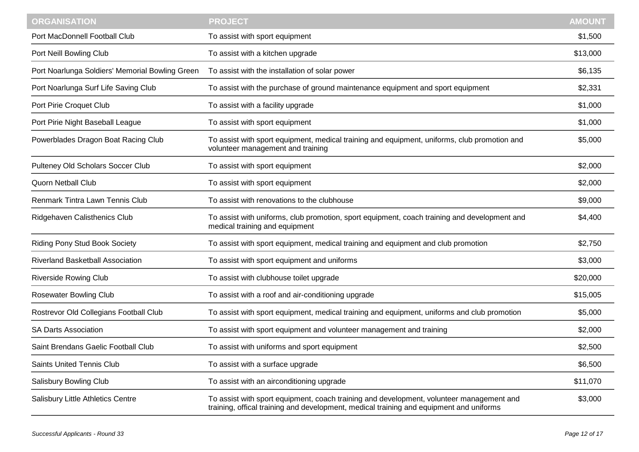| <b>ORGANISATION</b>                             | <b>PROJECT</b>                                                                                                                                                                      | <b>AMOUNT</b> |
|-------------------------------------------------|-------------------------------------------------------------------------------------------------------------------------------------------------------------------------------------|---------------|
| Port MacDonnell Football Club                   | To assist with sport equipment                                                                                                                                                      | \$1,500       |
| Port Neill Bowling Club                         | To assist with a kitchen upgrade                                                                                                                                                    | \$13,000      |
| Port Noarlunga Soldiers' Memorial Bowling Green | To assist with the installation of solar power                                                                                                                                      | \$6,135       |
| Port Noarlunga Surf Life Saving Club            | To assist with the purchase of ground maintenance equipment and sport equipment                                                                                                     | \$2,331       |
| Port Pirie Croquet Club                         | To assist with a facility upgrade                                                                                                                                                   | \$1,000       |
| Port Pirie Night Baseball League                | To assist with sport equipment                                                                                                                                                      | \$1,000       |
| Powerblades Dragon Boat Racing Club             | To assist with sport equipment, medical training and equipment, uniforms, club promotion and<br>volunteer management and training                                                   | \$5,000       |
| Pulteney Old Scholars Soccer Club               | To assist with sport equipment                                                                                                                                                      | \$2,000       |
| <b>Quorn Netball Club</b>                       | To assist with sport equipment                                                                                                                                                      | \$2,000       |
| Renmark Tintra Lawn Tennis Club                 | To assist with renovations to the clubhouse                                                                                                                                         | \$9,000       |
| Ridgehaven Calisthenics Club                    | To assist with uniforms, club promotion, sport equipment, coach training and development and<br>medical training and equipment                                                      | \$4,400       |
| <b>Riding Pony Stud Book Society</b>            | To assist with sport equipment, medical training and equipment and club promotion                                                                                                   | \$2,750       |
| <b>Riverland Basketball Association</b>         | To assist with sport equipment and uniforms                                                                                                                                         | \$3,000       |
| <b>Riverside Rowing Club</b>                    | To assist with clubhouse toilet upgrade                                                                                                                                             | \$20,000      |
| <b>Rosewater Bowling Club</b>                   | To assist with a roof and air-conditioning upgrade                                                                                                                                  | \$15,005      |
| Rostrevor Old Collegians Football Club          | To assist with sport equipment, medical training and equipment, uniforms and club promotion                                                                                         | \$5,000       |
| <b>SA Darts Association</b>                     | To assist with sport equipment and volunteer management and training                                                                                                                | \$2,000       |
| Saint Brendans Gaelic Football Club             | To assist with uniforms and sport equipment                                                                                                                                         | \$2,500       |
| Saints United Tennis Club                       | To assist with a surface upgrade                                                                                                                                                    | \$6,500       |
| <b>Salisbury Bowling Club</b>                   | To assist with an airconditioning upgrade                                                                                                                                           | \$11,070      |
| <b>Salisbury Little Athletics Centre</b>        | To assist with sport equipment, coach training and development, volunteer management and<br>training, offical training and development, medical training and equipment and uniforms | \$3,000       |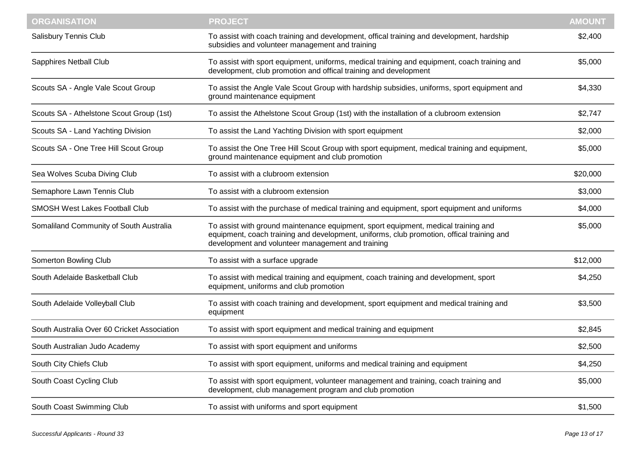| To assist with coach training and development, offical training and development, hardship<br>\$2,400<br>subsidies and volunteer management and training<br>To assist with sport equipment, uniforms, medical training and equipment, coach training and<br>\$5,000<br>development, club promotion and offical training and development<br>To assist the Angle Vale Scout Group with hardship subsidies, uniforms, sport equipment and<br>\$4,330<br>ground maintenance equipment<br>To assist the Athelstone Scout Group (1st) with the installation of a clubroom extension<br>\$2,747<br>To assist the Land Yachting Division with sport equipment<br>\$2,000<br>To assist the One Tree Hill Scout Group with sport equipment, medical training and equipment,<br>\$5,000<br>ground maintenance equipment and club promotion<br>To assist with a clubroom extension<br>\$20,000<br>\$3,000<br>To assist with a clubroom extension<br>To assist with the purchase of medical training and equipment, sport equipment and uniforms<br>\$4,000<br>\$5,000<br>To assist with ground maintenance equipment, sport equipment, medical training and<br>equipment, coach training and development, uniforms, club promotion, offical training and<br>development and volunteer management and training<br>\$12,000<br>To assist with a surface upgrade<br>To assist with medical training and equipment, coach training and development, sport<br>\$4,250<br>equipment, uniforms and club promotion<br>To assist with coach training and development, sport equipment and medical training and<br>\$3,500<br>equipment<br>To assist with sport equipment and medical training and equipment<br>\$2,845<br>To assist with sport equipment and uniforms<br>\$2,500<br>South Australian Judo Academy<br>\$4,250<br>To assist with sport equipment, uniforms and medical training and equipment<br>To assist with sport equipment, volunteer management and training, coach training and<br>\$5,000<br>development, club management program and club promotion<br>To assist with uniforms and sport equipment<br>\$1,500 | <b>ORGANISATION</b>                         | <b>PROJECT</b> | <b>AMOUNT</b> |
|----------------------------------------------------------------------------------------------------------------------------------------------------------------------------------------------------------------------------------------------------------------------------------------------------------------------------------------------------------------------------------------------------------------------------------------------------------------------------------------------------------------------------------------------------------------------------------------------------------------------------------------------------------------------------------------------------------------------------------------------------------------------------------------------------------------------------------------------------------------------------------------------------------------------------------------------------------------------------------------------------------------------------------------------------------------------------------------------------------------------------------------------------------------------------------------------------------------------------------------------------------------------------------------------------------------------------------------------------------------------------------------------------------------------------------------------------------------------------------------------------------------------------------------------------------------------------------------------------------------------------------------------------------------------------------------------------------------------------------------------------------------------------------------------------------------------------------------------------------------------------------------------------------------------------------------------------------------------------------------------------------------------------------------------------------------------------------------------------------------|---------------------------------------------|----------------|---------------|
|                                                                                                                                                                                                                                                                                                                                                                                                                                                                                                                                                                                                                                                                                                                                                                                                                                                                                                                                                                                                                                                                                                                                                                                                                                                                                                                                                                                                                                                                                                                                                                                                                                                                                                                                                                                                                                                                                                                                                                                                                                                                                                                | Salisbury Tennis Club                       |                |               |
|                                                                                                                                                                                                                                                                                                                                                                                                                                                                                                                                                                                                                                                                                                                                                                                                                                                                                                                                                                                                                                                                                                                                                                                                                                                                                                                                                                                                                                                                                                                                                                                                                                                                                                                                                                                                                                                                                                                                                                                                                                                                                                                | Sapphires Netball Club                      |                |               |
|                                                                                                                                                                                                                                                                                                                                                                                                                                                                                                                                                                                                                                                                                                                                                                                                                                                                                                                                                                                                                                                                                                                                                                                                                                                                                                                                                                                                                                                                                                                                                                                                                                                                                                                                                                                                                                                                                                                                                                                                                                                                                                                | Scouts SA - Angle Vale Scout Group          |                |               |
|                                                                                                                                                                                                                                                                                                                                                                                                                                                                                                                                                                                                                                                                                                                                                                                                                                                                                                                                                                                                                                                                                                                                                                                                                                                                                                                                                                                                                                                                                                                                                                                                                                                                                                                                                                                                                                                                                                                                                                                                                                                                                                                | Scouts SA - Athelstone Scout Group (1st)    |                |               |
|                                                                                                                                                                                                                                                                                                                                                                                                                                                                                                                                                                                                                                                                                                                                                                                                                                                                                                                                                                                                                                                                                                                                                                                                                                                                                                                                                                                                                                                                                                                                                                                                                                                                                                                                                                                                                                                                                                                                                                                                                                                                                                                | Scouts SA - Land Yachting Division          |                |               |
|                                                                                                                                                                                                                                                                                                                                                                                                                                                                                                                                                                                                                                                                                                                                                                                                                                                                                                                                                                                                                                                                                                                                                                                                                                                                                                                                                                                                                                                                                                                                                                                                                                                                                                                                                                                                                                                                                                                                                                                                                                                                                                                | Scouts SA - One Tree Hill Scout Group       |                |               |
|                                                                                                                                                                                                                                                                                                                                                                                                                                                                                                                                                                                                                                                                                                                                                                                                                                                                                                                                                                                                                                                                                                                                                                                                                                                                                                                                                                                                                                                                                                                                                                                                                                                                                                                                                                                                                                                                                                                                                                                                                                                                                                                | Sea Wolves Scuba Diving Club                |                |               |
|                                                                                                                                                                                                                                                                                                                                                                                                                                                                                                                                                                                                                                                                                                                                                                                                                                                                                                                                                                                                                                                                                                                                                                                                                                                                                                                                                                                                                                                                                                                                                                                                                                                                                                                                                                                                                                                                                                                                                                                                                                                                                                                | Semaphore Lawn Tennis Club                  |                |               |
|                                                                                                                                                                                                                                                                                                                                                                                                                                                                                                                                                                                                                                                                                                                                                                                                                                                                                                                                                                                                                                                                                                                                                                                                                                                                                                                                                                                                                                                                                                                                                                                                                                                                                                                                                                                                                                                                                                                                                                                                                                                                                                                | <b>SMOSH West Lakes Football Club</b>       |                |               |
|                                                                                                                                                                                                                                                                                                                                                                                                                                                                                                                                                                                                                                                                                                                                                                                                                                                                                                                                                                                                                                                                                                                                                                                                                                                                                                                                                                                                                                                                                                                                                                                                                                                                                                                                                                                                                                                                                                                                                                                                                                                                                                                | Somaliland Community of South Australia     |                |               |
|                                                                                                                                                                                                                                                                                                                                                                                                                                                                                                                                                                                                                                                                                                                                                                                                                                                                                                                                                                                                                                                                                                                                                                                                                                                                                                                                                                                                                                                                                                                                                                                                                                                                                                                                                                                                                                                                                                                                                                                                                                                                                                                | Somerton Bowling Club                       |                |               |
|                                                                                                                                                                                                                                                                                                                                                                                                                                                                                                                                                                                                                                                                                                                                                                                                                                                                                                                                                                                                                                                                                                                                                                                                                                                                                                                                                                                                                                                                                                                                                                                                                                                                                                                                                                                                                                                                                                                                                                                                                                                                                                                | South Adelaide Basketball Club              |                |               |
|                                                                                                                                                                                                                                                                                                                                                                                                                                                                                                                                                                                                                                                                                                                                                                                                                                                                                                                                                                                                                                                                                                                                                                                                                                                                                                                                                                                                                                                                                                                                                                                                                                                                                                                                                                                                                                                                                                                                                                                                                                                                                                                | South Adelaide Volleyball Club              |                |               |
|                                                                                                                                                                                                                                                                                                                                                                                                                                                                                                                                                                                                                                                                                                                                                                                                                                                                                                                                                                                                                                                                                                                                                                                                                                                                                                                                                                                                                                                                                                                                                                                                                                                                                                                                                                                                                                                                                                                                                                                                                                                                                                                | South Australia Over 60 Cricket Association |                |               |
|                                                                                                                                                                                                                                                                                                                                                                                                                                                                                                                                                                                                                                                                                                                                                                                                                                                                                                                                                                                                                                                                                                                                                                                                                                                                                                                                                                                                                                                                                                                                                                                                                                                                                                                                                                                                                                                                                                                                                                                                                                                                                                                |                                             |                |               |
|                                                                                                                                                                                                                                                                                                                                                                                                                                                                                                                                                                                                                                                                                                                                                                                                                                                                                                                                                                                                                                                                                                                                                                                                                                                                                                                                                                                                                                                                                                                                                                                                                                                                                                                                                                                                                                                                                                                                                                                                                                                                                                                | South City Chiefs Club                      |                |               |
|                                                                                                                                                                                                                                                                                                                                                                                                                                                                                                                                                                                                                                                                                                                                                                                                                                                                                                                                                                                                                                                                                                                                                                                                                                                                                                                                                                                                                                                                                                                                                                                                                                                                                                                                                                                                                                                                                                                                                                                                                                                                                                                | South Coast Cycling Club                    |                |               |
|                                                                                                                                                                                                                                                                                                                                                                                                                                                                                                                                                                                                                                                                                                                                                                                                                                                                                                                                                                                                                                                                                                                                                                                                                                                                                                                                                                                                                                                                                                                                                                                                                                                                                                                                                                                                                                                                                                                                                                                                                                                                                                                | South Coast Swimming Club                   |                |               |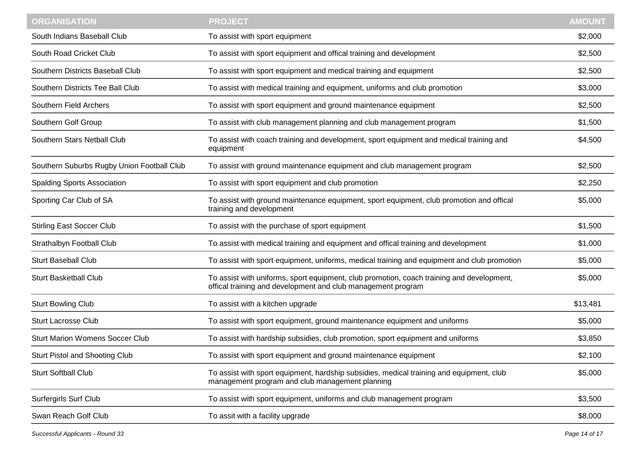| <b>ORGANISATION</b>                        | <b>PROJECT</b>                                                                                                                                            | <b>AMOUNT</b> |
|--------------------------------------------|-----------------------------------------------------------------------------------------------------------------------------------------------------------|---------------|
| South Indians Baseball Club                | To assist with sport equipment                                                                                                                            | \$2,000       |
| South Road Cricket Club                    | To assist with sport equipment and offical training and development                                                                                       | \$2,500       |
| Southern Districts Baseball Club           | To assist with sport equipment and medical training and equipment                                                                                         | \$2,500       |
| Southern Districts Tee Ball Club           | To assist with medical training and equipment, uniforms and club promotion                                                                                | \$3,000       |
| Southern Field Archers                     | To assist with sport equipment and ground maintenance equipment                                                                                           | \$2,500       |
| Southern Golf Group                        | To assist with club management planning and club management program                                                                                       | \$1,500       |
| Southern Stars Netball Club                | To assist with coach training and development, sport equipment and medical training and<br>equipment                                                      | \$4,500       |
| Southern Suburbs Rugby Union Football Club | To assist with ground maintenance equipment and club management program                                                                                   | \$2,500       |
| <b>Spalding Sports Association</b>         | To assist with sport equipment and club promotion                                                                                                         | \$2,250       |
| Sporting Car Club of SA                    | To assist with ground maintenance equipment, sport equipment, club promotion and offical<br>training and development                                      | \$5,000       |
| <b>Stirling East Soccer Club</b>           | To assist with the purchase of sport equipment                                                                                                            | \$1,500       |
| Strathalbyn Football Club                  | To assist with medical training and equipment and offical training and development                                                                        | \$1,000       |
| <b>Sturt Baseball Club</b>                 | To assist with sport equipment, uniforms, medical training and equipment and club promotion                                                               | \$5,000       |
| <b>Sturt Basketball Club</b>               | To assist with uniforms, sport equipment, club promotion, coach training and development,<br>offical training and development and club management program | \$5,000       |
| <b>Sturt Bowling Club</b>                  | To assist with a kitchen upgrade                                                                                                                          | \$13,481      |
| <b>Sturt Lacrosse Club</b>                 | To assist with sport equipment, ground maintenance equipment and uniforms                                                                                 | \$5,000       |
| <b>Sturt Marion Womens Soccer Club</b>     | To assist with hardship subsidies, club promotion, sport equipment and uniforms                                                                           | \$3,850       |
| Sturt Pistol and Shooting Club             | To assist with sport equipment and ground maintenance equipment                                                                                           | \$2,100       |
| <b>Sturt Softball Club</b>                 | To assist with sport equipment, hardship subsidies, medical training and equipment, club<br>management program and club management planning               | \$5,000       |
| <b>Surfergirls Surf Club</b>               | To assist with sport equipment, uniforms and club management program                                                                                      | \$3,500       |
| Swan Reach Golf Club                       | To assit with a facility upgrade                                                                                                                          | \$8,000       |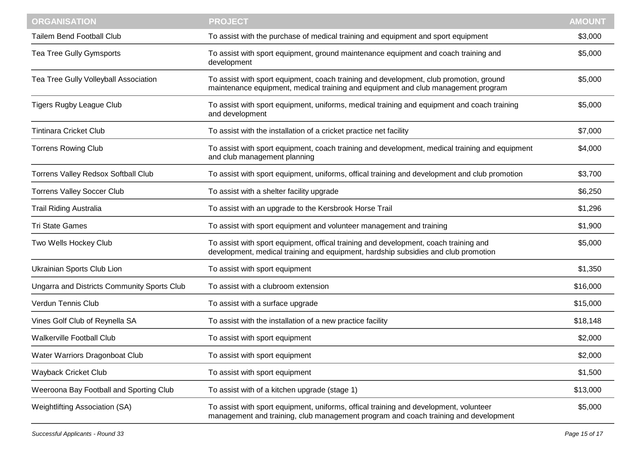| <b>ORGANISATION</b>                                | <b>PROJECT</b>                                                                                                                                                               | <b>AMOUNT</b> |
|----------------------------------------------------|------------------------------------------------------------------------------------------------------------------------------------------------------------------------------|---------------|
| <b>Tailem Bend Football Club</b>                   | To assist with the purchase of medical training and equipment and sport equipment                                                                                            | \$3,000       |
| Tea Tree Gully Gymsports                           | To assist with sport equipment, ground maintenance equipment and coach training and<br>development                                                                           | \$5,000       |
| Tea Tree Gully Volleyball Association              | To assist with sport equipment, coach training and development, club promotion, ground<br>maintenance equipment, medical training and equipment and club management program  | \$5,000       |
| <b>Tigers Rugby League Club</b>                    | To assist with sport equipment, uniforms, medical training and equipment and coach training<br>and development                                                               | \$5,000       |
| <b>Tintinara Cricket Club</b>                      | To assist with the installation of a cricket practice net facility                                                                                                           | \$7,000       |
| <b>Torrens Rowing Club</b>                         | To assist with sport equipment, coach training and development, medical training and equipment<br>and club management planning                                               | \$4,000       |
| Torrens Valley Redsox Softball Club                | To assist with sport equipment, uniforms, offical training and development and club promotion                                                                                | \$3,700       |
| <b>Torrens Valley Soccer Club</b>                  | To assist with a shelter facility upgrade                                                                                                                                    | \$6,250       |
| <b>Trail Riding Australia</b>                      | To assist with an upgrade to the Kersbrook Horse Trail                                                                                                                       | \$1,296       |
| <b>Tri State Games</b>                             | To assist with sport equipment and volunteer management and training                                                                                                         | \$1,900       |
| Two Wells Hockey Club                              | To assist with sport equipment, offical training and development, coach training and<br>development, medical training and equipment, hardship subsidies and club promotion   | \$5,000       |
| Ukrainian Sports Club Lion                         | To assist with sport equipment                                                                                                                                               | \$1,350       |
| <b>Ungarra and Districts Community Sports Club</b> | To assist with a clubroom extension                                                                                                                                          | \$16,000      |
| Verdun Tennis Club                                 | To assist with a surface upgrade                                                                                                                                             | \$15,000      |
| Vines Golf Club of Reynella SA                     | To assist with the installation of a new practice facility                                                                                                                   | \$18,148      |
| <b>Walkerville Football Club</b>                   | To assist with sport equipment                                                                                                                                               | \$2,000       |
| Water Warriors Dragonboat Club                     | To assist with sport equipment                                                                                                                                               | \$2,000       |
| Wayback Cricket Club                               | To assist with sport equipment                                                                                                                                               | \$1,500       |
| Weeroona Bay Football and Sporting Club            | To assist with of a kitchen upgrade (stage 1)                                                                                                                                | \$13,000      |
| Weightlifting Association (SA)                     | To assist with sport equipment, uniforms, offical training and development, volunteer<br>management and training, club management program and coach training and development | \$5,000       |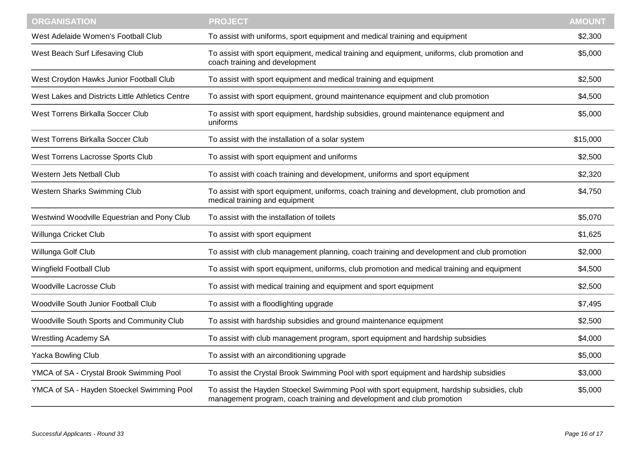| <b>ORGANISATION</b>                              | <b>PROJECT</b>                                                                                                                                                      | <b>AMOUNT</b> |
|--------------------------------------------------|---------------------------------------------------------------------------------------------------------------------------------------------------------------------|---------------|
| West Adelaide Women's Football Club              | To assist with uniforms, sport equipment and medical training and equipment                                                                                         | \$2,300       |
| West Beach Surf Lifesaving Club                  | To assist with sport equipment, medical training and equipment, uniforms, club promotion and<br>coach training and development                                      | \$5,000       |
| West Croydon Hawks Junior Football Club          | To assist with sport equipment and medical training and equipment                                                                                                   | \$2,500       |
| West Lakes and Districts Little Athletics Centre | To assist with sport equipment, ground maintenance equipment and club promotion                                                                                     | \$4,500       |
| West Torrens Birkalla Soccer Club                | To assist with sport equipment, hardship subsidies, ground maintenance equipment and<br>uniforms                                                                    | \$5,000       |
| <b>West Torrens Birkalla Soccer Club</b>         | To assist with the installation of a solar system                                                                                                                   | \$15,000      |
| West Torrens Lacrosse Sports Club                | To assist with sport equipment and uniforms                                                                                                                         | \$2,500       |
| <b>Western Jets Netball Club</b>                 | To assist with coach training and development, uniforms and sport equipment                                                                                         | \$2,320       |
| <b>Western Sharks Swimming Club</b>              | To assist with sport equipment, uniforms, coach training and development, club promotion and<br>medical training and equipment                                      | \$4,750       |
| Westwind Woodville Equestrian and Pony Club      | To assist with the installation of toilets                                                                                                                          | \$5,070       |
| Willunga Cricket Club                            | To assist with sport equipment                                                                                                                                      | \$1,625       |
| Willunga Golf Club                               | To assist with club management planning, coach training and development and club promotion                                                                          | \$2,000       |
| Wingfield Football Club                          | To assist with sport equipment, uniforms, club promotion and medical training and equipment                                                                         | \$4,500       |
| Woodville Lacrosse Club                          | To assist with medical training and equipment and sport equipment                                                                                                   | \$2,500       |
| Woodville South Junior Football Club             | To assist with a floodlighting upgrade                                                                                                                              | \$7,495       |
| Woodville South Sports and Community Club        | To assist with hardship subsidies and ground maintenance equipment                                                                                                  | \$2,500       |
| <b>Wrestling Academy SA</b>                      | To assist with club management program, sport equipment and hardship subsidies                                                                                      | \$4,000       |
| <b>Yacka Bowling Club</b>                        | To assist with an airconditioning upgrade                                                                                                                           | \$5,000       |
| YMCA of SA - Crystal Brook Swimming Pool         | To assist the Crystal Brook Swimming Pool with sport equipment and hardship subsidies                                                                               | \$3,000       |
| YMCA of SA - Hayden Stoeckel Swimming Pool       | To assist the Hayden Stoeckel Swimming Pool with sport equipment, hardship subsidies, club<br>management program, coach training and development and club promotion | \$5,000       |